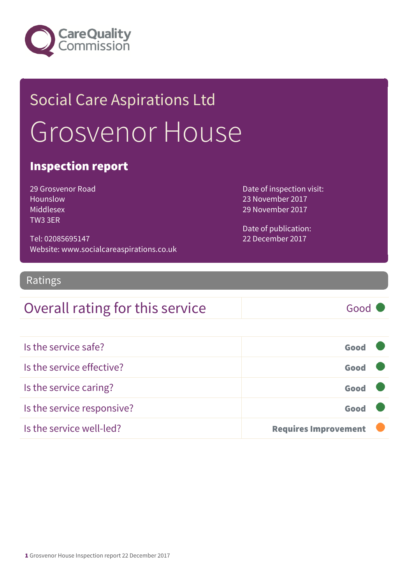

## Social Care Aspirations Ltd Grosvenor House

### Inspection report

29 Grosvenor Road Hounslow Middlesex TW3 3ER

Tel: 02085695147 Website: www.socialcareaspirations.co.uk Date of inspection visit: 23 November 2017 29 November 2017

Date of publication: 22 December 2017

### Ratings

### Overall rating for this service Good

| Is the service safe?       | Good                        |  |
|----------------------------|-----------------------------|--|
| Is the service effective?  | Good                        |  |
| Is the service caring?     | Good                        |  |
| Is the service responsive? | Good                        |  |
| Is the service well-led?   | <b>Requires Improvement</b> |  |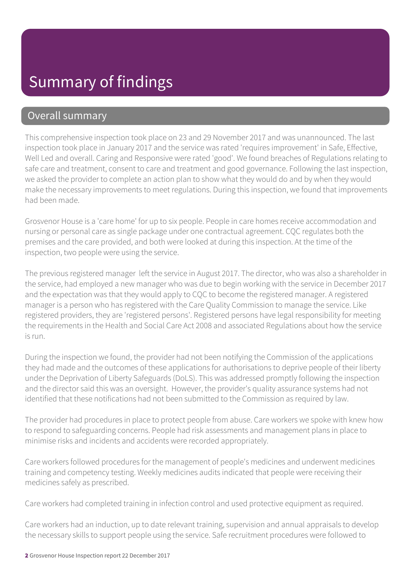### Overall summary

This comprehensive inspection took place on 23 and 29 November 2017 and was unannounced. The last inspection took place in January 2017 and the service was rated 'requires improvement' in Safe, Effective, Well Led and overall. Caring and Responsive were rated 'good'. We found breaches of Regulations relating to safe care and treatment, consent to care and treatment and good governance. Following the last inspection, we asked the provider to complete an action plan to show what they would do and by when they would make the necessary improvements to meet regulations. During this inspection, we found that improvements had been made.

Grosvenor House is a 'care home' for up to six people. People in care homes receive accommodation and nursing or personal care as single package under one contractual agreement. CQC regulates both the premises and the care provided, and both were looked at during this inspection. At the time of the inspection, two people were using the service.

The previous registered manager left the service in August 2017. The director, who was also a shareholder in the service, had employed a new manager who was due to begin working with the service in December 2017 and the expectation was that they would apply to CQC to become the registered manager. A registered manager is a person who has registered with the Care Quality Commission to manage the service. Like registered providers, they are 'registered persons'. Registered persons have legal responsibility for meeting the requirements in the Health and Social Care Act 2008 and associated Regulations about how the service is run.

During the inspection we found, the provider had not been notifying the Commission of the applications they had made and the outcomes of these applications for authorisations to deprive people of their liberty under the Deprivation of Liberty Safeguards (DoLS). This was addressed promptly following the inspection and the director said this was an oversight. However, the provider's quality assurance systems had not identified that these notifications had not been submitted to the Commission as required by law.

The provider had procedures in place to protect people from abuse. Care workers we spoke with knew how to respond to safeguarding concerns. People had risk assessments and management plans in place to minimise risks and incidents and accidents were recorded appropriately.

Care workers followed procedures for the management of people's medicines and underwent medicines training and competency testing. Weekly medicines audits indicated that people were receiving their medicines safely as prescribed.

Care workers had completed training in infection control and used protective equipment as required.

Care workers had an induction, up to date relevant training, supervision and annual appraisals to develop the necessary skills to support people using the service. Safe recruitment procedures were followed to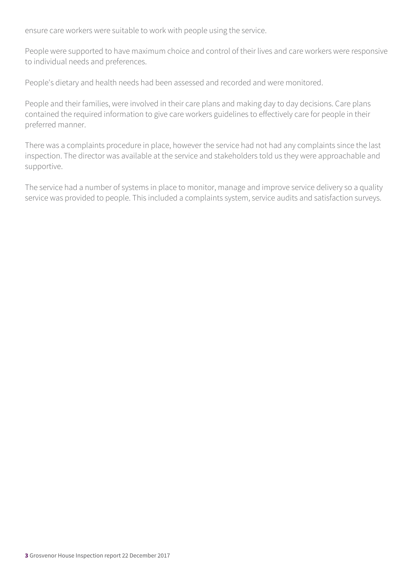ensure care workers were suitable to work with people using the service.

People were supported to have maximum choice and control of their lives and care workers were responsive to individual needs and preferences.

People's dietary and health needs had been assessed and recorded and were monitored.

People and their families, were involved in their care plans and making day to day decisions. Care plans contained the required information to give care workers guidelines to effectively care for people in their preferred manner.

There was a complaints procedure in place, however the service had not had any complaints since the last inspection. The director was available at the service and stakeholders told us they were approachable and supportive.

The service had a number of systems in place to monitor, manage and improve service delivery so a quality service was provided to people. This included a complaints system, service audits and satisfaction surveys.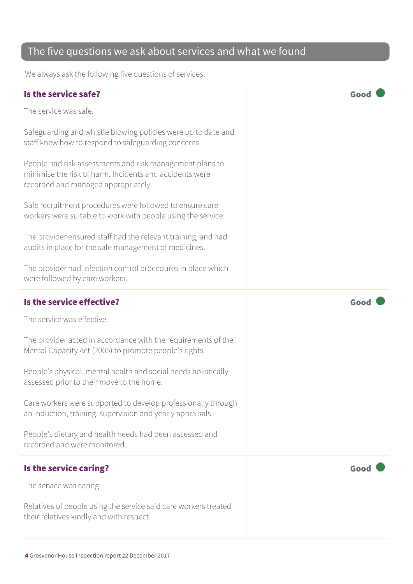# 4 Grosvenor House Inspection report 22 December 2017 workers were suitable to work with people using the service. Is the service effective?  $\Box$  Good  $\Box$ The service was effective. Is the service caring? The service caring?

### The five questions we ask about services and what we found

We always ask the following five questions of services.

### Is the service safe? Good

The service was safe.

Safeguarding and whistle blowing policies were up to date and staff knew how to respond to safeguarding concerns.

People had risk assessments and risk management plans to minimise the risk of harm. Incidents and accidents were recorded and managed appropriately.

Safe recruitment procedures were followed to ensure care

The provider ensured staff had the relevant training, and had audits in place for the safe management of medicines.

The provider had infection control procedures in place which were followed by care workers.

The provider acted in accordance with the requirements of the Mental Capacity Act (2005) to promote people's rights.

People's physical, mental health and social needs holistically assessed prior to their move to the home.

Care workers were supported to develop professionally through an induction, training, supervision and yearly appraisals.

People's dietary and health needs had been assessed and recorded and were monitored.

The service was caring.

Relatives of people using the service said care workers treated their relatives kindly and with respect.

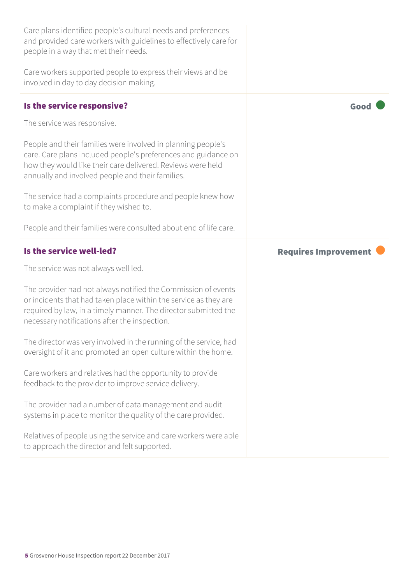| Care plans identified people's cultural needs and preferences<br>and provided care workers with guidelines to effectively care for<br>people in a way that met their needs.                                                                           |                             |
|-------------------------------------------------------------------------------------------------------------------------------------------------------------------------------------------------------------------------------------------------------|-----------------------------|
| Care workers supported people to express their views and be<br>involved in day to day decision making.                                                                                                                                                |                             |
| Is the service responsive?                                                                                                                                                                                                                            | Good                        |
| The service was responsive.                                                                                                                                                                                                                           |                             |
| People and their families were involved in planning people's<br>care. Care plans included people's preferences and guidance on<br>how they would like their care delivered. Reviews were held<br>annually and involved people and their families.     |                             |
| The service had a complaints procedure and people knew how<br>to make a complaint if they wished to.                                                                                                                                                  |                             |
| People and their families were consulted about end of life care.                                                                                                                                                                                      |                             |
|                                                                                                                                                                                                                                                       |                             |
| Is the service well-led?                                                                                                                                                                                                                              | <b>Requires Improvement</b> |
| The service was not always well led.                                                                                                                                                                                                                  |                             |
| The provider had not always notified the Commission of events<br>or incidents that had taken place within the service as they are<br>required by law, in a timely manner. The director submitted the<br>necessary notifications after the inspection. |                             |
| The director was very involved in the running of the service, had<br>oversight of it and promoted an open culture within the home.                                                                                                                    |                             |
| Care workers and relatives had the opportunity to provide<br>feedback to the provider to improve service delivery.                                                                                                                                    |                             |
| The provider had a number of data management and audit<br>systems in place to monitor the quality of the care provided.                                                                                                                               |                             |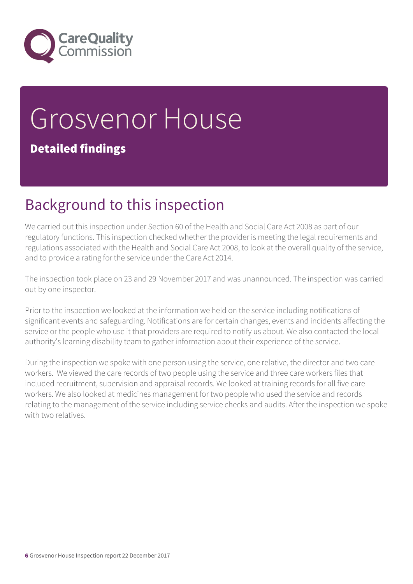

# Grosvenor House

### Detailed findings

### Background to this inspection

We carried out this inspection under Section 60 of the Health and Social Care Act 2008 as part of our regulatory functions. This inspection checked whether the provider is meeting the legal requirements and regulations associated with the Health and Social Care Act 2008, to look at the overall quality of the service, and to provide a rating for the service under the Care Act 2014.

The inspection took place on 23 and 29 November 2017 and was unannounced. The inspection was carried out by one inspector.

Prior to the inspection we looked at the information we held on the service including notifications of significant events and safeguarding. Notifications are for certain changes, events and incidents affecting the service or the people who use it that providers are required to notify us about. We also contacted the local authority's learning disability team to gather information about their experience of the service.

During the inspection we spoke with one person using the service, one relative, the director and two care workers. We viewed the care records of two people using the service and three care workers files that included recruitment, supervision and appraisal records. We looked at training records for all five care workers. We also looked at medicines management for two people who used the service and records relating to the management of the service including service checks and audits. After the inspection we spoke with two relatives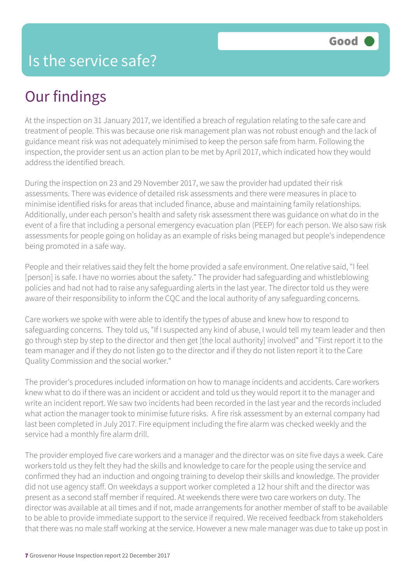### Our findings

At the inspection on 31 January 2017, we identified a breach of regulation relating to the safe care and treatment of people. This was because one risk management plan was not robust enough and the lack of guidance meant risk was not adequately minimised to keep the person safe from harm. Following the inspection, the provider sent us an action plan to be met by April 2017, which indicated how they would address the identified breach.

During the inspection on 23 and 29 November 2017, we saw the provider had updated their risk assessments. There was evidence of detailed risk assessments and there were measures in place to minimise identified risks for areas that included finance, abuse and maintaining family relationships. Additionally, under each person's health and safety risk assessment there was guidance on what do in the event of a fire that including a personal emergency evacuation plan (PEEP) for each person. We also saw risk assessments for people going on holiday as an example of risks being managed but people's independence being promoted in a safe way.

People and their relatives said they felt the home provided a safe environment. One relative said, "I feel [person] is safe. I have no worries about the safety." The provider had safeguarding and whistleblowing policies and had not had to raise any safeguarding alerts in the last year. The director told us they were aware of their responsibility to inform the CQC and the local authority of any safeguarding concerns.

Care workers we spoke with were able to identify the types of abuse and knew how to respond to safeguarding concerns. They told us, "If I suspected any kind of abuse, I would tell my team leader and then go through step by step to the director and then get [the local authority] involved" and "First report it to the team manager and if they do not listen go to the director and if they do not listen report it to the Care Quality Commission and the social worker."

The provider's procedures included information on how to manage incidents and accidents. Care workers knew what to do if there was an incident or accident and told us they would report it to the manager and write an incident report. We saw two incidents had been recorded in the last year and the records included what action the manager took to minimise future risks. A fire risk assessment by an external company had last been completed in July 2017. Fire equipment including the fire alarm was checked weekly and the service had a monthly fire alarm drill.

The provider employed five care workers and a manager and the director was on site five days a week. Care workers told us they felt they had the skills and knowledge to care for the people using the service and confirmed they had an induction and ongoing training to develop their skills and knowledge. The provider did not use agency staff. On weekdays a support worker completed a 12 hour shift and the director was present as a second staff member if required. At weekends there were two care workers on duty. The director was available at all times and if not, made arrangements for another member of staff to be available to be able to provide immediate support to the service if required. We received feedback from stakeholders that there was no male staff working at the service. However a new male manager was due to take up post in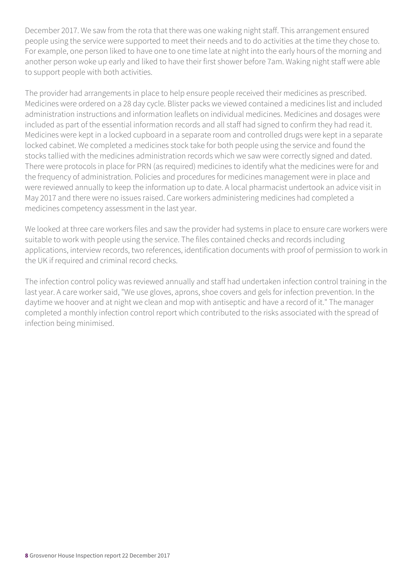December 2017. We saw from the rota that there was one waking night staff. This arrangement ensured people using the service were supported to meet their needs and to do activities at the time they chose to. For example, one person liked to have one to one time late at night into the early hours of the morning and another person woke up early and liked to have their first shower before 7am. Waking night staff were able to support people with both activities.

The provider had arrangements in place to help ensure people received their medicines as prescribed. Medicines were ordered on a 28 day cycle. Blister packs we viewed contained a medicines list and included administration instructions and information leaflets on individual medicines. Medicines and dosages were included as part of the essential information records and all staff had signed to confirm they had read it. Medicines were kept in a locked cupboard in a separate room and controlled drugs were kept in a separate locked cabinet. We completed a medicines stock take for both people using the service and found the stocks tallied with the medicines administration records which we saw were correctly signed and dated. There were protocols in place for PRN (as required) medicines to identify what the medicines were for and the frequency of administration. Policies and procedures for medicines management were in place and were reviewed annually to keep the information up to date. A local pharmacist undertook an advice visit in May 2017 and there were no issues raised. Care workers administering medicines had completed a medicines competency assessment in the last year.

We looked at three care workers files and saw the provider had systems in place to ensure care workers were suitable to work with people using the service. The files contained checks and records including applications, interview records, two references, identification documents with proof of permission to work in the UK if required and criminal record checks.

The infection control policy was reviewed annually and staff had undertaken infection control training in the last year. A care worker said, "We use gloves, aprons, shoe covers and gels for infection prevention. In the daytime we hoover and at night we clean and mop with antiseptic and have a record of it." The manager completed a monthly infection control report which contributed to the risks associated with the spread of infection being minimised.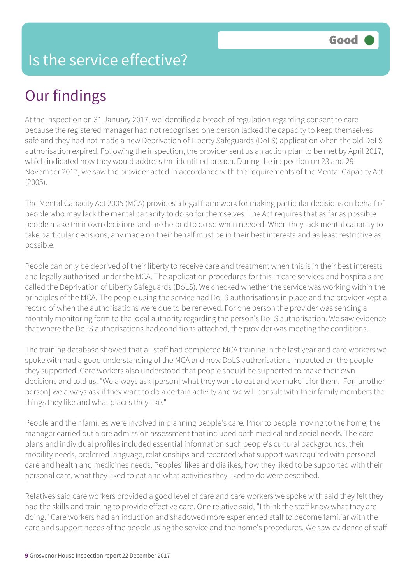### Is the service effective?

### Our findings

At the inspection on 31 January 2017, we identified a breach of regulation regarding consent to care because the registered manager had not recognised one person lacked the capacity to keep themselves safe and they had not made a new Deprivation of Liberty Safeguards (DoLS) application when the old DoLS authorisation expired. Following the inspection, the provider sent us an action plan to be met by April 2017, which indicated how they would address the identified breach. During the inspection on 23 and 29 November 2017, we saw the provider acted in accordance with the requirements of the Mental Capacity Act (2005).

The Mental Capacity Act 2005 (MCA) provides a legal framework for making particular decisions on behalf of people who may lack the mental capacity to do so for themselves. The Act requires that as far as possible people make their own decisions and are helped to do so when needed. When they lack mental capacity to take particular decisions, any made on their behalf must be in their best interests and as least restrictive as possible.

People can only be deprived of their liberty to receive care and treatment when this is in their best interests and legally authorised under the MCA. The application procedures for this in care services and hospitals are called the Deprivation of Liberty Safeguards (DoLS). We checked whether the service was working within the principles of the MCA. The people using the service had DoLS authorisations in place and the provider kept a record of when the authorisations were due to be renewed. For one person the provider was sending a monthly monitoring form to the local authority regarding the person's DoLS authorisation. We saw evidence that where the DoLS authorisations had conditions attached, the provider was meeting the conditions.

The training database showed that all staff had completed MCA training in the last year and care workers we spoke with had a good understanding of the MCA and how DoLS authorisations impacted on the people they supported. Care workers also understood that people should be supported to make their own decisions and told us, "We always ask [person] what they want to eat and we make it for them. For [another person] we always ask if they want to do a certain activity and we will consult with their family members the things they like and what places they like."

People and their families were involved in planning people's care. Prior to people moving to the home, the manager carried out a pre admission assessment that included both medical and social needs. The care plans and individual profiles included essential information such people's cultural backgrounds, their mobility needs, preferred language, relationships and recorded what support was required with personal care and health and medicines needs. Peoples' likes and dislikes, how they liked to be supported with their personal care, what they liked to eat and what activities they liked to do were described.

Relatives said care workers provided a good level of care and care workers we spoke with said they felt they had the skills and training to provide effective care. One relative said, "I think the staff know what they are doing." Care workers had an induction and shadowed more experienced staff to become familiar with the care and support needs of the people using the service and the home's procedures. We saw evidence of staff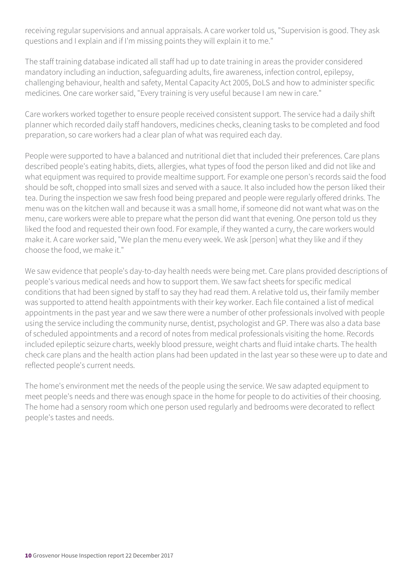receiving regular supervisions and annual appraisals. A care worker told us, "Supervision is good. They ask questions and I explain and if I'm missing points they will explain it to me."

The staff training database indicated all staff had up to date training in areas the provider considered mandatory including an induction, safeguarding adults, fire awareness, infection control, epilepsy, challenging behaviour, health and safety, Mental Capacity Act 2005, DoLS and how to administer specific medicines. One care worker said, "Every training is very useful because I am new in care."

Care workers worked together to ensure people received consistent support. The service had a daily shift planner which recorded daily staff handovers, medicines checks, cleaning tasks to be completed and food preparation, so care workers had a clear plan of what was required each day.

People were supported to have a balanced and nutritional diet that included their preferences. Care plans described people's eating habits, diets, allergies, what types of food the person liked and did not like and what equipment was required to provide mealtime support. For example one person's records said the food should be soft, chopped into small sizes and served with a sauce. It also included how the person liked their tea. During the inspection we saw fresh food being prepared and people were regularly offered drinks. The menu was on the kitchen wall and because it was a small home, if someone did not want what was on the menu, care workers were able to prepare what the person did want that evening. One person told us they liked the food and requested their own food. For example, if they wanted a curry, the care workers would make it. A care worker said, "We plan the menu every week. We ask [person] what they like and if they choose the food, we make it."

We saw evidence that people's day-to-day health needs were being met. Care plans provided descriptions of people's various medical needs and how to support them. We saw fact sheets for specific medical conditions that had been signed by staff to say they had read them. A relative told us, their family member was supported to attend health appointments with their key worker. Each file contained a list of medical appointments in the past year and we saw there were a number of other professionals involved with people using the service including the community nurse, dentist, psychologist and GP. There was also a data base of scheduled appointments and a record of notes from medical professionals visiting the home. Records included epileptic seizure charts, weekly blood pressure, weight charts and fluid intake charts. The health check care plans and the health action plans had been updated in the last year so these were up to date and reflected people's current needs.

The home's environment met the needs of the people using the service. We saw adapted equipment to meet people's needs and there was enough space in the home for people to do activities of their choosing. The home had a sensory room which one person used regularly and bedrooms were decorated to reflect people's tastes and needs.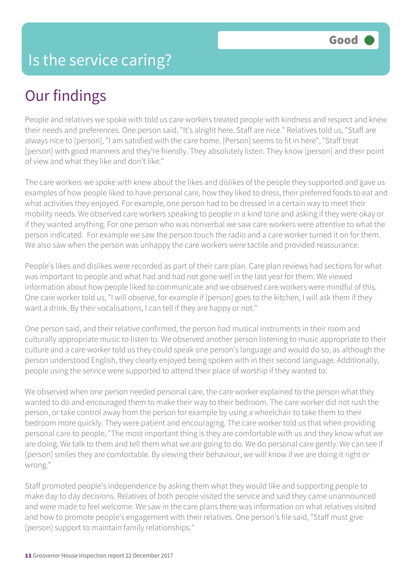### Our findings

People and relatives we spoke with told us care workers treated people with kindness and respect and knew their needs and preferences. One person said, "It's alright here. Staff are nice." Relatives told us, "Staff are always nice to [person], "I am satisfied with the care home. [Person] seems to fit in here", "Staff treat [person] with good manners and they're friendly. They absolutely listen. They know [person] and their point of view and what they like and don't like."

The care workers we spoke with knew about the likes and dislikes of the people they supported and gave us examples of how people liked to have personal care, how they liked to dress, their preferred foods to eat and what activities they enjoyed. For example, one person had to be dressed in a certain way to meet their mobility needs. We observed care workers speaking to people in a kind tone and asking if they were okay or if they wanted anything. For one person who was nonverbal we saw care workers were attentive to what the person indicated. For example we saw the person touch the radio and a care worker turned it on for them. We also saw when the person was unhappy the care workers were tactile and provided reassurance.

People's likes and dislikes were recorded as part of their care plan. Care plan reviews had sections for what was important to people and what had and had not gone well in the last year for them. We viewed information about how people liked to communicate and we observed care workers were mindful of this. One care worker told us, "I will observe, for example if [person] goes to the kitchen, I will ask them if they want a drink. By their vocalisations, I can tell if they are happy or not."

One person said, and their relative confirmed, the person had musical instruments in their room and culturally appropriate music to listen to. We observed another person listening to music appropriate to their culture and a care worker told us they could speak one person's language and would do so, as although the person understood English, they clearly enjoyed being spoken with in their second language. Additionally, people using the service were supported to attend their place of worship if they wanted to.

We observed when one person needed personal care, the care worker explained to the person what they wanted to do and encouraged them to make their way to their bedroom. The care worker did not rush the person, or take control away from the person for example by using a wheelchair to take them to their bedroom more quickly. They were patient and encouraging. The care worker told us that when providing personal care to people, "The most important thing is they are comfortable with us and they know what we are doing. We talk to them and tell them what we are going to do. We do personal care gently. We can see if [person] smiles they are comfortable. By viewing their behaviour, we will know if we are doing it right or wrong."

Staff promoted people's independence by asking them what they would like and supporting people to make day to day decisions. Relatives of both people visited the service and said they came unannounced and were made to feel welcome. We saw in the care plans there was information on what relatives visited and how to promote people's engagement with their relatives. One person's file said, "Staff must give [person] support to maintain family relationships."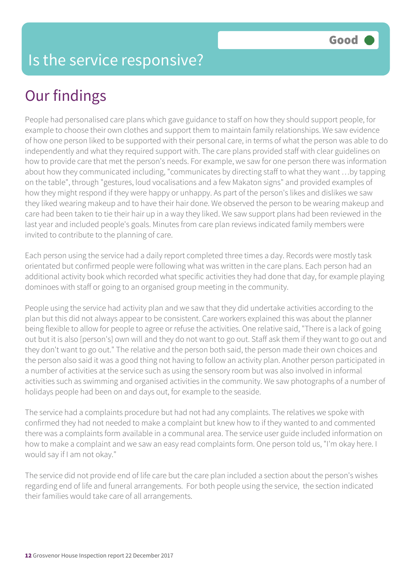### Our findings

People had personalised care plans which gave guidance to staff on how they should support people, for example to choose their own clothes and support them to maintain family relationships. We saw evidence of how one person liked to be supported with their personal care, in terms of what the person was able to do independently and what they required support with. The care plans provided staff with clear guidelines on how to provide care that met the person's needs. For example, we saw for one person there was information about how they communicated including, "communicates by directing staff to what they want …by tapping on the table", through "gestures, loud vocalisations and a few Makaton signs" and provided examples of how they might respond if they were happy or unhappy. As part of the person's likes and dislikes we saw they liked wearing makeup and to have their hair done. We observed the person to be wearing makeup and care had been taken to tie their hair up in a way they liked. We saw support plans had been reviewed in the last year and included people's goals. Minutes from care plan reviews indicated family members were invited to contribute to the planning of care.

Each person using the service had a daily report completed three times a day. Records were mostly task orientated but confirmed people were following what was written in the care plans. Each person had an additional activity book which recorded what specific activities they had done that day, for example playing dominoes with staff or going to an organised group meeting in the community.

People using the service had activity plan and we saw that they did undertake activities according to the plan but this did not always appear to be consistent. Care workers explained this was about the planner being flexible to allow for people to agree or refuse the activities. One relative said, "There is a lack of going out but it is also [person's] own will and they do not want to go out. Staff ask them if they want to go out and they don't want to go out." The relative and the person both said, the person made their own choices and the person also said it was a good thing not having to follow an activity plan. Another person participated in a number of activities at the service such as using the sensory room but was also involved in informal activities such as swimming and organised activities in the community. We saw photographs of a number of holidays people had been on and days out, for example to the seaside.

The service had a complaints procedure but had not had any complaints. The relatives we spoke with confirmed they had not needed to make a complaint but knew how to if they wanted to and commented there was a complaints form available in a communal area. The service user guide included information on how to make a complaint and we saw an easy read complaints form. One person told us, "I'm okay here. I would say if I am not okay."

The service did not provide end of life care but the care plan included a section about the person's wishes regarding end of life and funeral arrangements. For both people using the service, the section indicated their families would take care of all arrangements.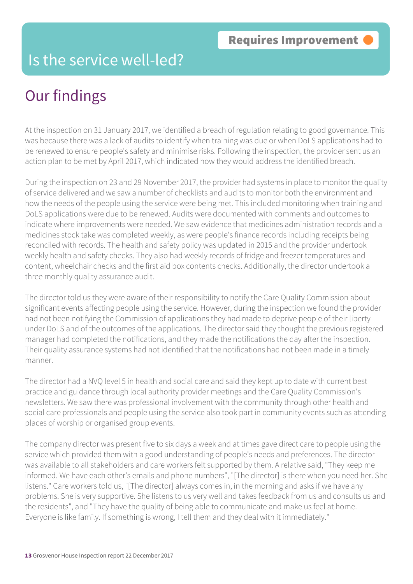### Is the service well-led?

### Our findings

At the inspection on 31 January 2017, we identified a breach of regulation relating to good governance. This was because there was a lack of audits to identify when training was due or when DoLS applications had to be renewed to ensure people's safety and minimise risks. Following the inspection, the provider sent us an action plan to be met by April 2017, which indicated how they would address the identified breach.

During the inspection on 23 and 29 November 2017, the provider had systems in place to monitor the quality of service delivered and we saw a number of checklists and audits to monitor both the environment and how the needs of the people using the service were being met. This included monitoring when training and DoLS applications were due to be renewed. Audits were documented with comments and outcomes to indicate where improvements were needed. We saw evidence that medicines administration records and a medicines stock take was completed weekly, as were people's finance records including receipts being reconciled with records. The health and safety policy was updated in 2015 and the provider undertook weekly health and safety checks. They also had weekly records of fridge and freezer temperatures and content, wheelchair checks and the first aid box contents checks. Additionally, the director undertook a three monthly quality assurance audit.

The director told us they were aware of their responsibility to notify the Care Quality Commission about significant events affecting people using the service. However, during the inspection we found the provider had not been notifying the Commission of applications they had made to deprive people of their liberty under DoLS and of the outcomes of the applications. The director said they thought the previous registered manager had completed the notifications, and they made the notifications the day after the inspection. Their quality assurance systems had not identified that the notifications had not been made in a timely manner.

The director had a NVQ level 5 in health and social care and said they kept up to date with current best practice and guidance through local authority provider meetings and the Care Quality Commission's newsletters. We saw there was professional involvement with the community through other health and social care professionals and people using the service also took part in community events such as attending places of worship or organised group events.

The company director was present five to six days a week and at times gave direct care to people using the service which provided them with a good understanding of people's needs and preferences. The director was available to all stakeholders and care workers felt supported by them. A relative said, "They keep me informed. We have each other's emails and phone numbers", "[The director] is there when you need her. She listens." Care workers told us, "[The director] always comes in, in the morning and asks if we have any problems. She is very supportive. She listens to us very well and takes feedback from us and consults us and the residents", and "They have the quality of being able to communicate and make us feel at home. Everyone is like family. If something is wrong, I tell them and they deal with it immediately."